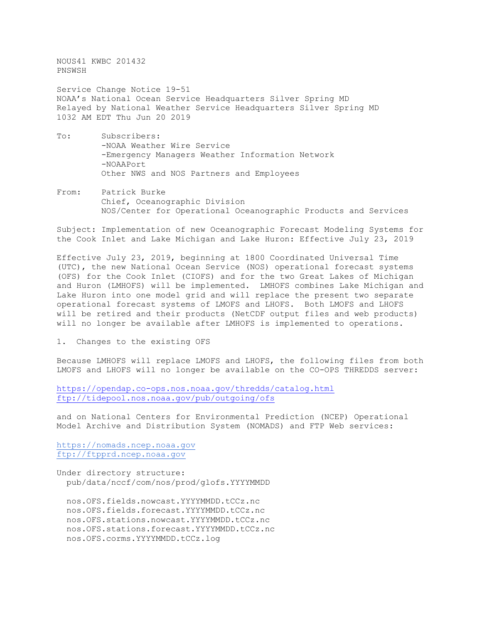NOUS41 KWBC 201432 PNSWSH

Service Change Notice 19-51 NOAA's National Ocean Service Headquarters Silver Spring MD Relayed by National Weather Service Headquarters Silver Spring MD 1032 AM EDT Thu Jun 20 2019

- To: Subscribers: -NOAA Weather Wire Service -Emergency Managers Weather Information Network -NOAAPort Other NWS and NOS Partners and Employees
- From: Patrick Burke Chief, Oceanographic Division NOS/Center for Operational Oceanographic Products and Services

Subject: Implementation of new Oceanographic Forecast Modeling Systems for the Cook Inlet and Lake Michigan and Lake Huron: Effective July 23, 2019

Effective July 23, 2019, beginning at 1800 Coordinated Universal Time (UTC), the new National Ocean Service (NOS) operational forecast systems (OFS) for the Cook Inlet (CIOFS) and for the two Great Lakes of Michigan and Huron (LMHOFS) will be implemented. LMHOFS combines Lake Michigan and Lake Huron into one model grid and will replace the present two separate operational forecast systems of LMOFS and LHOFS. Both LMOFS and LHOFS will be retired and their products (NetCDF output files and web products) will no longer be available after LMHOFS is implemented to operations.

1. Changes to the existing OFS

Because LMHOFS will replace LMOFS and LHOFS, the following files from both LMOFS and LHOFS will no longer be available on the CO-OPS THREDDS server:

<https://opendap.co-ops.nos.noaa.gov/thredds/catalog.html> <ftp://tidepool.nos.noaa.gov/pub/outgoing/ofs>

and on National Centers for Environmental Prediction (NCEP) Operational Model Archive and Distribution System (NOMADS) and FTP Web services:

[https://nomads.ncep.noaa.gov](https://nomads.ncep.noaa.gov/) [ftp://ftpprd.ncep.noaa.gov](ftp://ftpprd.ncep.noaa.gov/)

Under directory structure: pub/data/nccf/com/nos/prod/glofs.YYYYMMDD

 nos.OFS.fields.nowcast.YYYYMMDD.tCCz.nc nos.OFS.fields.forecast.YYYYMMDD.tCCz.nc nos.OFS.stations.nowcast.YYYYMMDD.tCCz.nc nos.OFS.stations.forecast.YYYYMMDD.tCCz.nc nos.OFS.corms.YYYYMMDD.tCCz.log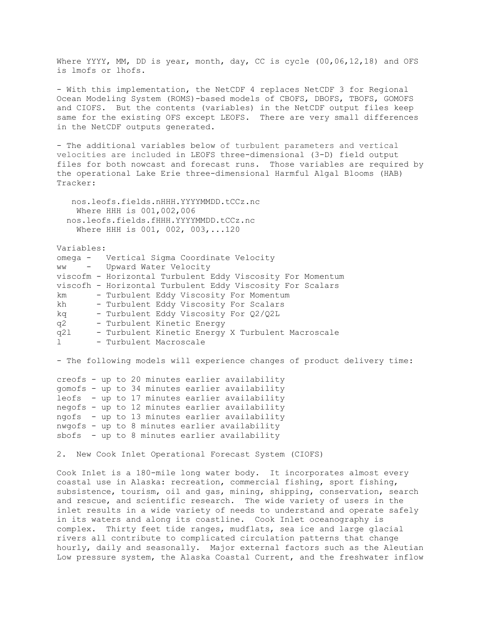Where YYYY, MM, DD is year, month, day, CC is cycle (00,06,12,18) and OFS is lmofs or lhofs.

- With this implementation, the NetCDF 4 replaces NetCDF 3 for Regional Ocean Modeling System (ROMS)-based models of CBOFS, DBOFS, TBOFS, GOMOFS and CIOFS. But the contents (variables) in the NetCDF output files keep same for the existing OFS except LEOFS. There are very small differences in the NetCDF outputs generated.

- The additional variables below of turbulent parameters and vertical velocities are included in LEOFS three-dimensional (3-D) field output files for both nowcast and forecast runs. Those variables are required by the operational Lake Erie three-dimensional Harmful Algal Blooms (HAB) Tracker:

```
 nos.leofs.fields.nHHH.YYYYMMDD.tCCz.nc
   Where HHH is 001,002,006
 nos.leofs.fields.fHHH.YYYYMMDD.tCCz.nc
   Where HHH is 001, 002, 003,...120
```
Variables:

|              |  | omega - Vertical Sigma Coordinate Velocity                 |
|--------------|--|------------------------------------------------------------|
|              |  | ww - Upward Water Velocity                                 |
|              |  | viscofm - Horizontal Turbulent Eddy Viscosity For Momentum |
|              |  | viscofh - Horizontal Turbulent Eddy Viscosity For Scalars  |
| km           |  | - Turbulent Eddy Viscosity For Momentum                    |
| kh           |  | - Turbulent Eddy Viscosity For Scalars                     |
| kq           |  | - Turbulent Eddy Viscosity For Q2/Q2L                      |
| q2           |  | - Turbulent Kinetic Energy                                 |
| q21          |  | - Turbulent Kinetic Energy X Turbulent Macroscale          |
| $\mathbf{1}$ |  | - Turbulent Macroscale                                     |
|              |  |                                                            |

- The following models will experience changes of product delivery time:

```
creofs - up to 20 minutes earlier availability
gomofs - up to 34 minutes earlier availability
leofs - up to 17 minutes earlier availability
negofs - up to 12 minutes earlier availability
ngofs - up to 13 minutes earlier availability
nwgofs - up to 8 minutes earlier availability
sbofs - up to 8 minutes earlier availability
```
2. New Cook Inlet Operational Forecast System (CIOFS)

Cook Inlet is a 180-mile long water body. It incorporates almost every coastal use in Alaska: recreation, commercial fishing, sport fishing, subsistence, tourism, oil and gas, mining, shipping, conservation, search and rescue, and scientific research. The wide variety of users in the inlet results in a wide variety of needs to understand and operate safely in its waters and along its coastline. Cook Inlet oceanography is complex. Thirty feet tide ranges, mudflats, sea ice and large glacial rivers all contribute to complicated circulation patterns that change hourly, daily and seasonally. Major external factors such as the Aleutian Low pressure system, the Alaska Coastal Current, and the freshwater inflow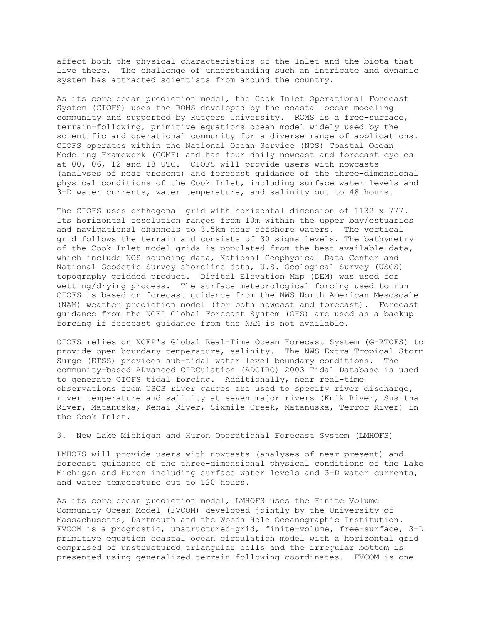affect both the physical characteristics of the Inlet and the biota that live there. The challenge of understanding such an intricate and dynamic system has attracted scientists from around the country.

As its core ocean prediction model, the Cook Inlet Operational Forecast System (CIOFS) uses the ROMS developed by the coastal ocean modeling community and supported by Rutgers University. ROMS is a free-surface, terrain-following, primitive equations ocean model widely used by the scientific and operational community for a diverse range of applications. CIOFS operates within the National Ocean Service (NOS) Coastal Ocean Modeling Framework (COMF) and has four daily nowcast and forecast cycles at 00, 06, 12 and 18 UTC. CIOFS will provide users with nowcasts (analyses of near present) and forecast guidance of the three-dimensional physical conditions of the Cook Inlet, including surface water levels and 3-D water currents, water temperature, and salinity out to 48 hours.

The CIOFS uses orthogonal grid with horizontal dimension of 1132 x 777. Its horizontal resolution ranges from 10m within the upper bay/estuaries and navigational channels to 3.5km near offshore waters. The vertical grid follows the terrain and consists of 30 sigma levels. The bathymetry of the Cook Inlet model grids is populated from the best available data, which include NOS sounding data, National Geophysical Data Center and National Geodetic Survey shoreline data, U.S. Geological Survey (USGS) topography gridded product. Digital Elevation Map (DEM) was used for wetting/drying process. The surface meteorological forcing used to run CIOFS is based on forecast guidance from the NWS North American Mesoscale (NAM) weather prediction model (for both nowcast and forecast). Forecast guidance from the NCEP Global Forecast System (GFS) are used as a backup forcing if forecast guidance from the NAM is not available.

CIOFS relies on NCEP's Global Real-Time Ocean Forecast System (G-RTOFS) to provide open boundary temperature, salinity. The NWS Extra-Tropical Storm Surge (ETSS) provides sub-tidal water level boundary conditions. The community-based ADvanced CIRCulation (ADCIRC) 2003 Tidal Database is used to generate CIOFS tidal forcing. Additionally, near real-time observations from USGS river gauges are used to specify river discharge, river temperature and salinity at seven major rivers (Knik River, Susitna River, Matanuska, Kenai River, Sixmile Creek, Matanuska, Terror River) in the Cook Inlet.

3. New Lake Michigan and Huron Operational Forecast System (LMHOFS)

LMHOFS will provide users with nowcasts (analyses of near present) and forecast guidance of the three-dimensional physical conditions of the Lake Michigan and Huron including surface water levels and 3-D water currents, and water temperature out to 120 hours.

As its core ocean prediction model, LMHOFS uses the Finite Volume Community Ocean Model (FVCOM) developed jointly by the University of Massachusetts, Dartmouth and the Woods Hole Oceanographic Institution. FVCOM is a prognostic, unstructured-grid, finite-volume, free-surface, 3-D primitive equation coastal ocean circulation model with a horizontal grid comprised of unstructured triangular cells and the irregular bottom is presented using generalized terrain-following coordinates. FVCOM is one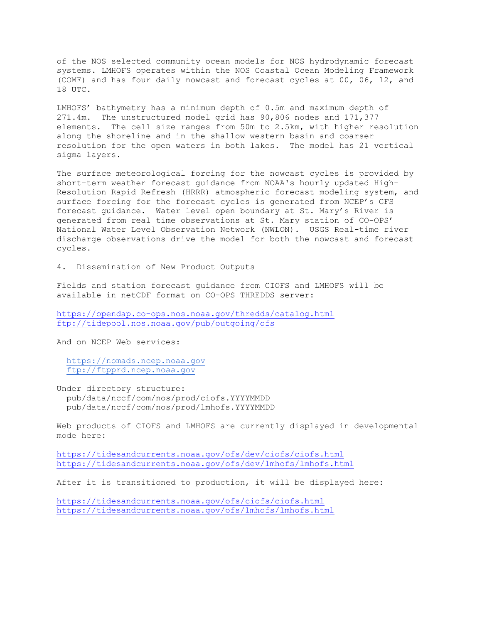of the NOS selected community ocean models for NOS hydrodynamic forecast systems. LMHOFS operates within the NOS Coastal Ocean Modeling Framework (COMF) and has four daily nowcast and forecast cycles at 00, 06, 12, and 18 UTC.

LMHOFS' bathymetry has a minimum depth of 0.5m and maximum depth of 271.4m. The unstructured model grid has 90,806 nodes and 171,377 elements. The cell size ranges from 50m to 2.5km, with higher resolution along the shoreline and in the shallow western basin and coarser resolution for the open waters in both lakes. The model has 21 vertical sigma layers.

The surface meteorological forcing for the nowcast cycles is provided by short-term weather forecast guidance from NOAA's hourly updated High-Resolution Rapid Refresh (HRRR) atmospheric forecast modeling system, and surface forcing for the forecast cycles is generated from NCEP's GFS forecast guidance. Water level open boundary at St. Mary's River is generated from real time observations at St. Mary station of CO-OPS' National Water Level Observation Network (NWLON). USGS Real-time river discharge observations drive the model for both the nowcast and forecast cycles.

4. Dissemination of New Product Outputs

Fields and station forecast guidance from CIOFS and LMHOFS will be available in netCDF format on CO-OPS THREDDS server:

<https://opendap.co-ops.nos.noaa.gov/thredds/catalog.html> <ftp://tidepool.nos.noaa.gov/pub/outgoing/ofs>

And on NCEP Web services:

 [https://nomads.ncep.noaa.gov](https://nomads.ncep.noaa.gov/) [ftp://ftpprd.ncep.noaa.gov](ftp://ftpprd.ncep.noaa.gov/)

Under directory structure: pub/data/nccf/com/nos/prod/ciofs.YYYYMMDD pub/data/nccf/com/nos/prod/lmhofs.YYYYMMDD

Web products of CIOFS and LMHOFS are currently displayed in developmental mode here:

<https://tidesandcurrents.noaa.gov/ofs/dev/ciofs/ciofs.html> <https://tidesandcurrents.noaa.gov/ofs/dev/lmhofs/lmhofs.html>

After it is transitioned to production, it will be displayed here:

<https://tidesandcurrents.noaa.gov/ofs/ciofs/ciofs.html> <https://tidesandcurrents.noaa.gov/ofs/lmhofs/lmhofs.html>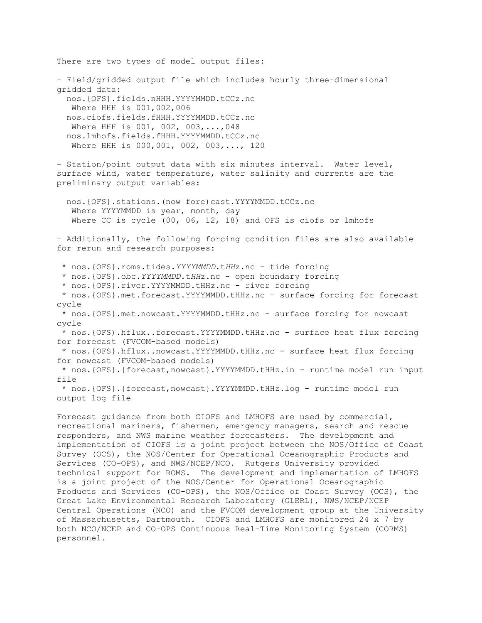There are two types of model output files: - Field/gridded output file which includes hourly three-dimensional gridded data: nos.{OFS}.fields.nHHH.YYYYMMDD.tCCz.nc Where HHH is 001,002,006 nos.ciofs.fields.fHHH.YYYYMMDD.tCCz.nc Where HHH is 001, 002, 003,...,048 nos.lmhofs.fields.fHHH.YYYYMMDD.tCCz.nc Where HHH is 000,001, 002, 003,..., 120 - Station/point output data with six minutes interval. Water level, surface wind, water temperature, water salinity and currents are the preliminary output variables: nos.{OFS}.stations.(now|fore)cast.YYYYMMDD.tCCz.nc Where YYYYMMDD is year, month, day Where CC is cycle (00, 06, 12, 18) and OFS is ciofs or lmhofs - Additionally, the following forcing condition files are also available for rerun and research purposes: \* nos.{OFS}.roms.tides.*YYYYMMDD*.t*HH*z.nc - tide forcing \* nos.{OFS}.obc.*YYYYMMDD*.t*HH*z.nc - open boundary forcing \* nos.{OFS}.river.YYYYMMDD.tHHz.nc - river forcing \* nos.{OFS}.met.forecast.YYYYMMDD.tHHz.nc - surface forcing for forecast cycle \* nos.{OFS}.met.nowcast.YYYYMMDD.tHHz.nc - surface forcing for nowcast cycle \* nos.{OFS).hflux..forecast.YYYYMMDD.tHHz.nc - surface heat flux forcing for forecast (FVCOM-based models) \* nos.{OFS}.hflux..nowcast.YYYYMMDD.tHHz.nc - surface heat flux forcing for nowcast (FVCOM-based models) \* nos.{OFS}.{forecast,nowcast}.YYYYMMDD.tHHz.in - runtime model run input file \* nos.{OFS}.{forecast,nowcast}.YYYYMMDD.tHHz.log - runtime model run output log file Forecast guidance from both CIOFS and LMHOFS are used by commercial, recreational mariners, fishermen, emergency managers, search and rescue responders, and NWS marine weather forecasters. The development and implementation of CIOFS is a joint project between the NOS/Office of Coast Survey (OCS), the NOS/Center for Operational Oceanographic Products and

Services (CO-OPS), and NWS/NCEP/NCO. Rutgers University provided technical support for ROMS. The development and implementation of LMHOFS is a joint project of the NOS/Center for Operational Oceanographic Products and Services (CO-OPS), the NOS/Office of Coast Survey (OCS), the Great Lake Environmental Research Laboratory (GLERL), NWS/NCEP/NCEP Central Operations (NCO) and the FVCOM development group at the University of Massachusetts, Dartmouth. CIOFS and LMHOFS are monitored 24 x 7 by both NCO/NCEP and CO-OPS Continuous Real-Time Monitoring System (CORMS) personnel.